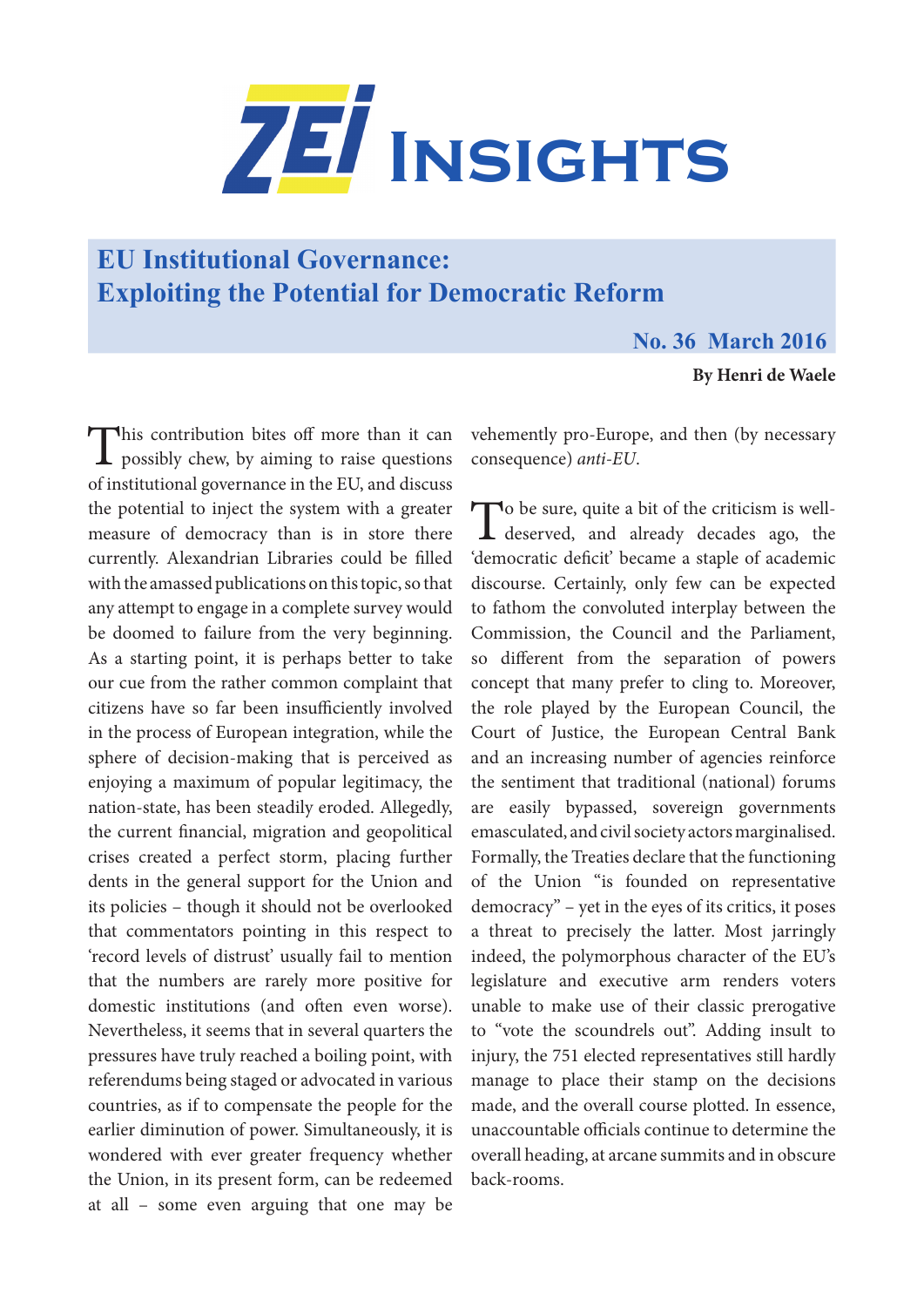

# **EU Institutional Governance: Exploiting the Potential for Democratic Reform**

## **No. 36 March 2016**

### **By Henri de Waele**

This contribution bites off more than it can  $\perp$  possibly chew, by aiming to raise questions of institutional governance in the EU, and discuss the potential to inject the system with a greater measure of democracy than is in store there currently. Alexandrian Libraries could be filled with the amassed publications on this topic, so that any attempt to engage in a complete survey would be doomed to failure from the very beginning. As a starting point, it is perhaps better to take our cue from the rather common complaint that citizens have so far been insufficiently involved in the process of European integration, while the sphere of decision-making that is perceived as enjoying a maximum of popular legitimacy, the nation-state, has been steadily eroded. Allegedly, the current financial, migration and geopolitical crises created a perfect storm, placing further dents in the general support for the Union and its policies – though it should not be overlooked that commentators pointing in this respect to 'record levels of distrust' usually fail to mention that the numbers are rarely more positive for domestic institutions (and often even worse). Nevertheless, it seems that in several quarters the pressures have truly reached a boiling point, with referendums being staged or advocated in various countries, as if to compensate the people for the earlier diminution of power. Simultaneously, it is wondered with ever greater frequency whether the Union, in its present form, can be redeemed at all – some even arguing that one may be

vehemently pro-Europe, and then (by necessary consequence) *anti-EU*.

To be sure, quite a bit of the criticism is well-<br>deserved, and already decades ago, the 'democratic deficit' became a staple of academic discourse. Certainly, only few can be expected to fathom the convoluted interplay between the Commission, the Council and the Parliament, so different from the separation of powers concept that many prefer to cling to. Moreover, the role played by the European Council, the Court of Justice, the European Central Bank and an increasing number of agencies reinforce the sentiment that traditional (national) forums are easily bypassed, sovereign governments emasculated, and civil society actors marginalised. Formally, the Treaties declare that the functioning of the Union "is founded on representative democracy" – yet in the eyes of its critics, it poses a threat to precisely the latter. Most jarringly indeed, the polymorphous character of the EU's legislature and executive arm renders voters unable to make use of their classic prerogative to "vote the scoundrels out". Adding insult to injury, the 751 elected representatives still hardly manage to place their stamp on the decisions made, and the overall course plotted. In essence, unaccountable officials continue to determine the overall heading, at arcane summits and in obscure back-rooms.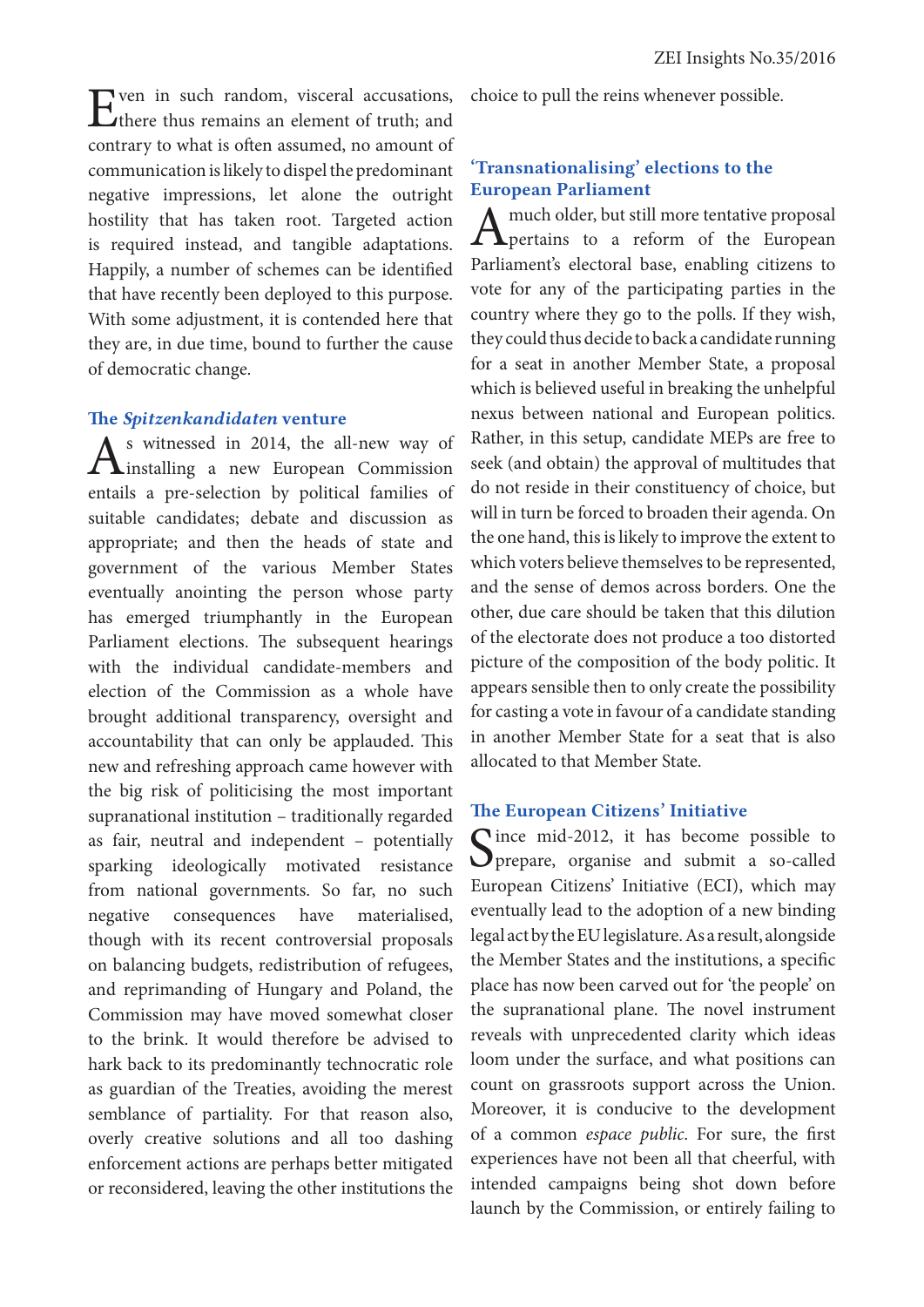Even in such random, visceral accusations, there thus remains an element of truth; and contrary to what is often assumed, no amount of communication is likely to dispel the predominant negative impressions, let alone the outright hostility that has taken root. Targeted action is required instead, and tangible adaptations. Happily, a number of schemes can be identified that have recently been deployed to this purpose. With some adjustment, it is contended here that they are, in due time, bound to further the cause of democratic change.

#### The *Spitzenkandidaten* venture

 $A<sup>s</sup>$  witnessed in 2014, the all-new way of installing a new European Commission entails a pre-selection by political families of suitable candidates; debate and discussion as appropriate; and then the heads of state and government of the various Member States eventually anointing the person whose party has emerged triumphantly in the European Parliament elections. The subsequent hearings with the individual candidate-members and election of the Commission as a whole have brought additional transparency, oversight and accountability that can only be applauded. This new and refreshing approach came however with the big risk of politicising the most important supranational institution – traditionally regarded as fair, neutral and independent – potentially sparking ideologically motivated resistance from national governments. So far, no such negative consequences have materialised, though with its recent controversial proposals on balancing budgets, redistribution of refugees, and reprimanding of Hungary and Poland, the Commission may have moved somewhat closer to the brink. It would therefore be advised to hark back to its predominantly technocratic role as guardian of the Treaties, avoiding the merest semblance of partiality. For that reason also, overly creative solutions and all too dashing enforcement actions are perhaps better mitigated or reconsidered, leaving the other institutions the

choice to pull the reins whenever possible.

## 'Transnationalising' elections to the European Parliament

A much older, but still more tentative proposal<br>pertains to a reform of the European Parliament's electoral base, enabling citizens to vote for any of the participating parties in the country where they go to the polls. If they wish, they could thus decide to back a candidate running for a seat in another Member State, a proposal which is believed useful in breaking the unhelpful nexus between national and European politics. Rather, in this setup, candidate MEPs are free to seek (and obtain) the approval of multitudes that do not reside in their constituency of choice, but will in turn be forced to broaden their agenda. On the one hand, this is likely to improve the extent to which voters believe themselves to be represented, and the sense of demos across borders. One the other, due care should be taken that this dilution of the electorate does not produce a too distorted picture of the composition of the body politic. It appears sensible then to only create the possibility for casting a vote in favour of a candidate standing in another Member State for a seat that is also allocated to that Member State.

#### The European Citizens' Initiative

Since mid-2012, it has become possible to prepare, organise and submit a so-called European Citizens' Initiative (ECI), which may eventually lead to the adoption of a new binding legal act by the EU legislature. As a result, alongside the Member States and the institutions, a specific place has now been carved out for 'the people' on the supranational plane. The novel instrument reveals with unprecedented clarity which ideas loom under the surface, and what positions can count on grassroots support across the Union. Moreover, it is conducive to the development of a common *espace public*. For sure, the first experiences have not been all that cheerful, with intended campaigns being shot down before launch by the Commission, or entirely failing to